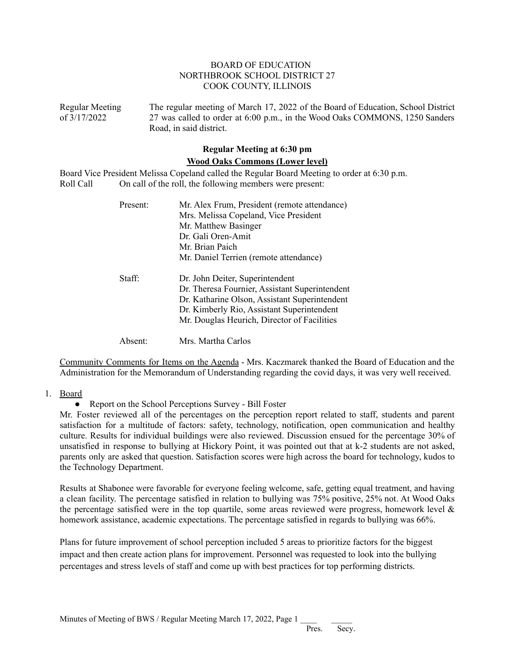## BOARD OF EDUCATION NORTHBROOK SCHOOL DISTRICT 27 COOK COUNTY, ILLINOIS

Regular Meeting The regular meeting of March 17, 2022 of the Board of Education, School District of 3/17/2022 27 was called to order at 6:00 p.m., in the Wood Oaks COMMONS, 1250 Sanders Road, in said district.

# **Regular Meeting at 6:30 pm Wood Oaks Commons (Lower level)**

Board Vice President Melissa Copeland called the Regular Board Meeting to order at 6:30 p.m. Roll Call On call of the roll, the following members were present:

| Present: | Mr. Alex Frum, President (remote attendance)<br>Mrs. Melissa Copeland, Vice President<br>Mr. Matthew Basinger<br>Dr. Gali Oren-Amit<br>Mr. Brian Paich<br>Mr. Daniel Terrien (remote attendance)                                |
|----------|---------------------------------------------------------------------------------------------------------------------------------------------------------------------------------------------------------------------------------|
| Staff:   | Dr. John Deiter, Superintendent<br>Dr. Theresa Fournier, Assistant Superintendent<br>Dr. Katharine Olson, Assistant Superintendent<br>Dr. Kimberly Rio, Assistant Superintendent<br>Mr. Douglas Heurich, Director of Facilities |
| Absent:  | Mrs. Martha Carlos                                                                                                                                                                                                              |

Community Comments for Items on the Agenda - Mrs. Kaczmarek thanked the Board of Education and the Administration for the Memorandum of Understanding regarding the covid days, it was very well received.

#### 1. Board

• Report on the School Perceptions Survey - Bill Foster

Mr. Foster reviewed all of the percentages on the perception report related to staff, students and parent satisfaction for a multitude of factors: safety, technology, notification, open communication and healthy culture. Results for individual buildings were also reviewed. Discussion ensued for the percentage 30% of unsatisfied in response to bullying at Hickory Point, it was pointed out that at k-2 students are not asked, parents only are asked that question. Satisfaction scores were high across the board for technology, kudos to the Technology Department.

Results at Shabonee were favorable for everyone feeling welcome, safe, getting equal treatment, and having a clean facility. The percentage satisfied in relation to bullying was 75% positive, 25% not. At Wood Oaks the percentage satisfied were in the top quartile, some areas reviewed were progress, homework level  $\&$ homework assistance, academic expectations. The percentage satisfied in regards to bullying was 66%.

Plans for future improvement of school perception included 5 areas to prioritize factors for the biggest impact and then create action plans for improvement. Personnel was requested to look into the bullying percentages and stress levels of staff and come up with best practices for top performing districts.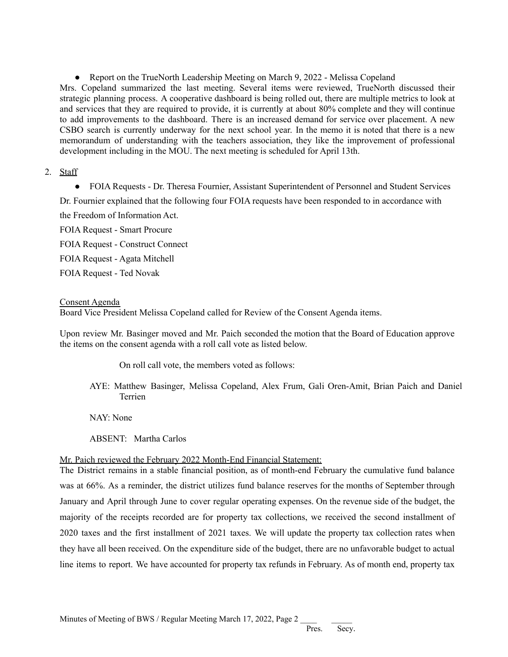• Report on the TrueNorth Leadership Meeting on March 9, 2022 - Melissa Copeland

Mrs. Copeland summarized the last meeting. Several items were reviewed, TrueNorth discussed their strategic planning process. A cooperative dashboard is being rolled out, there are multiple metrics to look at and services that they are required to provide, it is currently at about 80% complete and they will continue to add improvements to the dashboard. There is an increased demand for service over placement. A new CSBO search is currently underway for the next school year. In the memo it is noted that there is a new memorandum of understanding with the teachers association, they like the improvement of professional development including in the MOU. The next meeting is scheduled for April 13th.

# 2. Staff

• FOIA Requests - Dr. Theresa Fournier, Assistant Superintendent of Personnel and Student Services

Dr. Fournier explained that the following four FOIA requests have been responded to in accordance with the Freedom of Information Act.

FOIA Request - Smart Procure FOIA Request - Construct Connect FOIA Request - Agata Mitchell FOIA Request - Ted Novak

## Consent Agenda

Board Vice President Melissa Copeland called for Review of the Consent Agenda items.

Upon review Mr. Basinger moved and Mr. Paich seconded the motion that the Board of Education approve the items on the consent agenda with a roll call vote as listed below.

On roll call vote, the members voted as follows:

AYE: Matthew Basinger, Melissa Copeland, Alex Frum, Gali Oren-Amit, Brian Paich and Daniel Terrien

NAY: None

ABSENT: Martha Carlos

## Mr. Paich reviewed the February 2022 Month-End Financial Statement:

The District remains in a stable financial position, as of month-end February the cumulative fund balance was at 66%. As a reminder, the district utilizes fund balance reserves for the months of September through January and April through June to cover regular operating expenses. On the revenue side of the budget, the majority of the receipts recorded are for property tax collections, we received the second installment of 2020 taxes and the first installment of 2021 taxes. We will update the property tax collection rates when they have all been received. On the expenditure side of the budget, there are no unfavorable budget to actual line items to report. We have accounted for property tax refunds in February. As of month end, property tax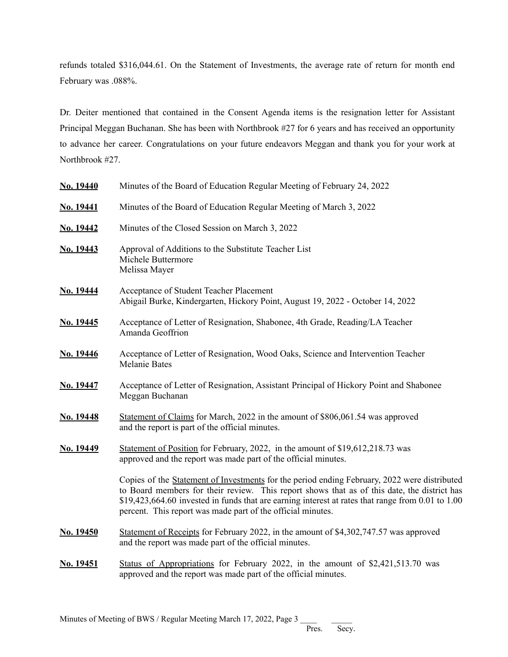refunds totaled \$316,044.61. On the Statement of Investments, the average rate of return for month end February was .088%.

Dr. Deiter mentioned that contained in the Consent Agenda items is the resignation letter for Assistant Principal Meggan Buchanan. She has been with Northbrook #27 for 6 years and has received an opportunity to advance her career. Congratulations on your future endeavors Meggan and thank you for your work at Northbrook #27.

| No. 19440        | Minutes of the Board of Education Regular Meeting of February 24, 2022                                                                                                                                                                                                                                                                                          |
|------------------|-----------------------------------------------------------------------------------------------------------------------------------------------------------------------------------------------------------------------------------------------------------------------------------------------------------------------------------------------------------------|
| <b>No. 19441</b> | Minutes of the Board of Education Regular Meeting of March 3, 2022                                                                                                                                                                                                                                                                                              |
| No. 19442        | Minutes of the Closed Session on March 3, 2022                                                                                                                                                                                                                                                                                                                  |
| No. 19443        | Approval of Additions to the Substitute Teacher List<br>Michele Buttermore<br>Melissa Mayer                                                                                                                                                                                                                                                                     |
| No. 19444        | Acceptance of Student Teacher Placement<br>Abigail Burke, Kindergarten, Hickory Point, August 19, 2022 - October 14, 2022                                                                                                                                                                                                                                       |
| No. 19445        | Acceptance of Letter of Resignation, Shabonee, 4th Grade, Reading/LA Teacher<br>Amanda Geoffrion                                                                                                                                                                                                                                                                |
| No. 19446        | Acceptance of Letter of Resignation, Wood Oaks, Science and Intervention Teacher<br><b>Melanie Bates</b>                                                                                                                                                                                                                                                        |
| No. 19447        | Acceptance of Letter of Resignation, Assistant Principal of Hickory Point and Shabonee<br>Meggan Buchanan                                                                                                                                                                                                                                                       |
| No. 19448        | Statement of Claims for March, 2022 in the amount of \$806,061.54 was approved<br>and the report is part of the official minutes.                                                                                                                                                                                                                               |
| No. 19449        | Statement of Position for February, 2022, in the amount of \$19,612,218.73 was<br>approved and the report was made part of the official minutes.                                                                                                                                                                                                                |
|                  | Copies of the Statement of Investments for the period ending February, 2022 were distributed<br>to Board members for their review. This report shows that as of this date, the district has<br>\$19,423,664.60 invested in funds that are earning interest at rates that range from 0.01 to 1.00<br>percent. This report was made part of the official minutes. |
| No. 19450        | Statement of Receipts for February 2022, in the amount of \$4,302,747.57 was approved<br>and the report was made part of the official minutes.                                                                                                                                                                                                                  |
| No. 19451        | Status of Appropriations for February 2022, in the amount of \$2,421,513.70 was<br>approved and the report was made part of the official minutes.                                                                                                                                                                                                               |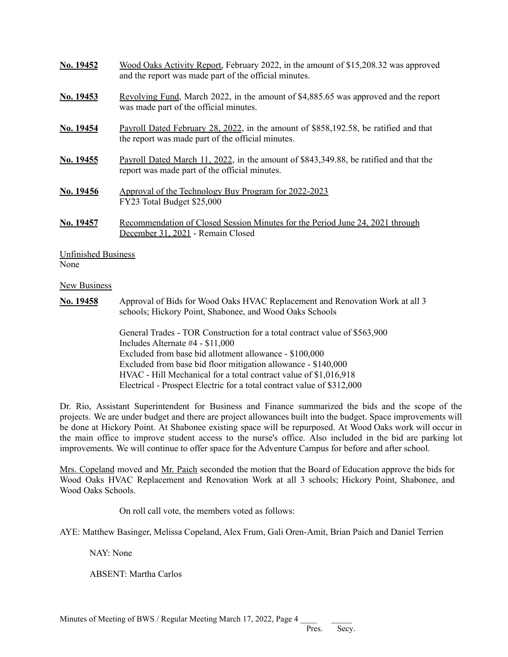| No. 19452                          | Wood Oaks Activity Report, February 2022, in the amount of \$15,208.32 was approved<br>and the report was made part of the official minutes. |
|------------------------------------|----------------------------------------------------------------------------------------------------------------------------------------------|
| <b>No. 19453</b>                   | Revolving Fund, March 2022, in the amount of \$4,885.65 was approved and the report<br>was made part of the official minutes.                |
| No. 19454                          | Payroll Dated February 28, 2022, in the amount of \$858,192.58, be ratified and that<br>the report was made part of the official minutes.    |
| No. 19455                          | Payroll Dated March 11, 2022, in the amount of \$843,349.88, be ratified and that the<br>report was made part of the official minutes.       |
| No. 19456                          | Approval of the Technology Buy Program for 2022-2023<br>FY23 Total Budget \$25,000                                                           |
| No. 19457                          | Recommendation of Closed Session Minutes for the Period June 24, 2021 through<br>December 31, 2021 - Remain Closed                           |
| <b>Unfinished Business</b><br>None |                                                                                                                                              |

#### **New Business**

**No. 19458** Approval of Bids for Wood Oaks HVAC Replacement and Renovation Work at all 3 schools; Hickory Point, Shabonee, and Wood Oaks Schools

> General Trades - TOR Construction for a total contract value of \$563,900 Includes Alternate #4 - \$11,000 Excluded from base bid allotment allowance - \$100,000 Excluded from base bid floor mitigation allowance - \$140,000 HVAC - Hill Mechanical for a total contract value of \$1,016,918 Electrical - Prospect Electric for a total contract value of \$312,000

Dr. Rio, Assistant Superintendent for Business and Finance summarized the bids and the scope of the projects. We are under budget and there are project allowances built into the budget. Space improvements will be done at Hickory Point. At Shabonee existing space will be repurposed. At Wood Oaks work will occur in the main office to improve student access to the nurse's office. Also included in the bid are parking lot improvements. We will continue to offer space for the Adventure Campus for before and after school.

Mrs. Copeland moved and Mr. Paich seconded the motion that the Board of Education approve the bids for Wood Oaks HVAC Replacement and Renovation Work at all 3 schools; Hickory Point, Shabonee, and Wood Oaks Schools.

On roll call vote, the members voted as follows:

AYE: Matthew Basinger, Melissa Copeland, Alex Frum, Gali Oren-Amit, Brian Paich and Daniel Terrien

NAY: None

ABSENT: Martha Carlos